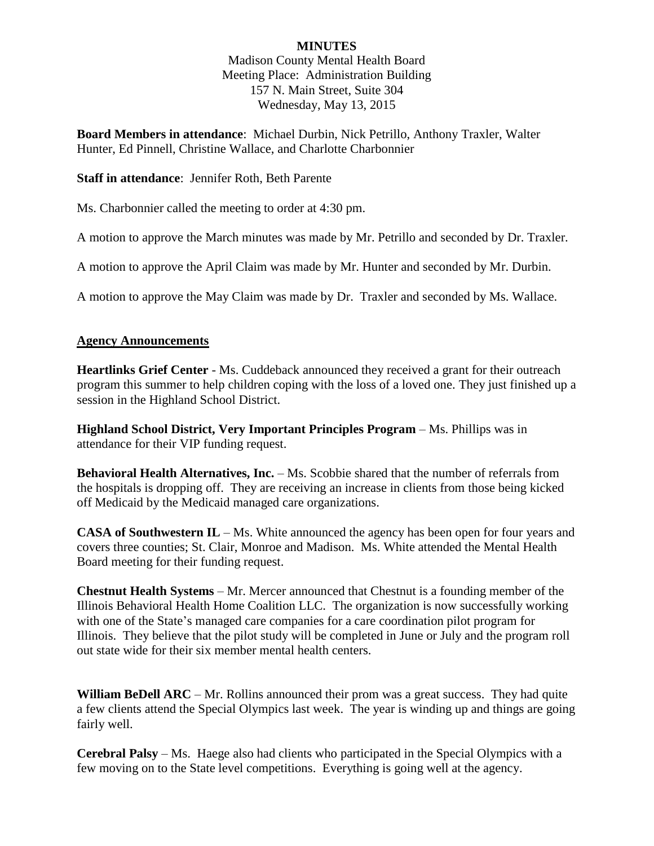# **MINUTES**

Madison County Mental Health Board Meeting Place: Administration Building 157 N. Main Street, Suite 304 Wednesday, May 13, 2015

**Board Members in attendance**: Michael Durbin, Nick Petrillo, Anthony Traxler, Walter Hunter, Ed Pinnell, Christine Wallace, and Charlotte Charbonnier

### **Staff in attendance**: Jennifer Roth, Beth Parente

Ms. Charbonnier called the meeting to order at 4:30 pm.

A motion to approve the March minutes was made by Mr. Petrillo and seconded by Dr. Traxler.

A motion to approve the April Claim was made by Mr. Hunter and seconded by Mr. Durbin.

A motion to approve the May Claim was made by Dr. Traxler and seconded by Ms. Wallace.

#### **Agency Announcements**

**Heartlinks Grief Center** - Ms. Cuddeback announced they received a grant for their outreach program this summer to help children coping with the loss of a loved one. They just finished up a session in the Highland School District.

**Highland School District, Very Important Principles Program** – Ms. Phillips was in attendance for their VIP funding request.

**Behavioral Health Alternatives, Inc.** – Ms. Scobbie shared that the number of referrals from the hospitals is dropping off. They are receiving an increase in clients from those being kicked off Medicaid by the Medicaid managed care organizations.

**CASA of Southwestern IL** – Ms. White announced the agency has been open for four years and covers three counties; St. Clair, Monroe and Madison. Ms. White attended the Mental Health Board meeting for their funding request.

**Chestnut Health Systems** – Mr. Mercer announced that Chestnut is a founding member of the Illinois Behavioral Health Home Coalition LLC. The organization is now successfully working with one of the State's managed care companies for a care coordination pilot program for Illinois. They believe that the pilot study will be completed in June or July and the program roll out state wide for their six member mental health centers.

**William BeDell ARC** – Mr. Rollins announced their prom was a great success. They had quite a few clients attend the Special Olympics last week. The year is winding up and things are going fairly well.

**Cerebral Palsy** – Ms. Haege also had clients who participated in the Special Olympics with a few moving on to the State level competitions. Everything is going well at the agency.